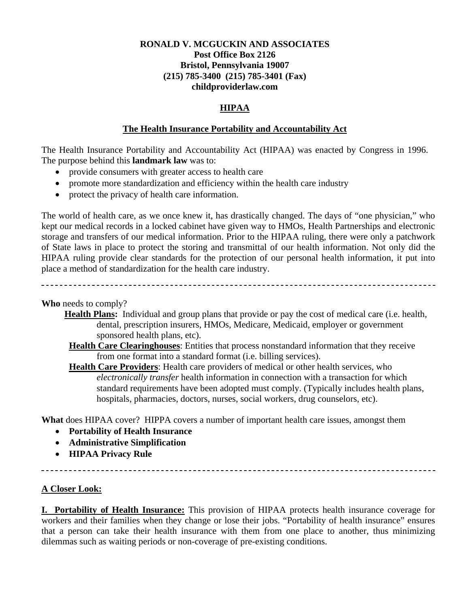#### **RONALD V. MCGUCKIN AND ASSOCIATES Post Office Box 2126 Bristol, Pennsylvania 19007 (215) 785-3400 (215) 785-3401 (Fax) childproviderlaw.com**

#### **HIPAA**

#### **The Health Insurance Portability and Accountability Act**

The Health Insurance Portability and Accountability Act (HIPAA) was enacted by Congress in 1996. The purpose behind this **landmark law** was to:

- provide consumers with greater access to health care
- promote more standardization and efficiency within the health care industry
- protect the privacy of health care information.

The world of health care, as we once knew it, has drastically changed. The days of "one physician," who kept our medical records in a locked cabinet have given way to HMOs, Health Partnerships and electronic storage and transfers of our medical information. Prior to the HIPAA ruling, there were only a patchwork of State laws in place to protect the storing and transmittal of our health information. Not only did the HIPAA ruling provide clear standards for the protection of our personal health information, it put into place a method of standardization for the health care industry.

**Who** needs to comply?

- **Health Plans:** Individual and group plans that provide or pay the cost of medical care (i.e. health, dental, prescription insurers, HMOs, Medicare, Medicaid, employer or government sponsored health plans, etc).
	- **Health Care Clearinghouses**: Entities that process nonstandard information that they receive from one format into a standard format (i.e. billing services).

**Health Care Providers**: Health care providers of medical or other health services, who *electronically transfer* health information in connection with a transaction for which standard requirements have been adopted must comply. (Typically includes health plans, hospitals, pharmacies, doctors, nurses, social workers, drug counselors, etc).

**What** does HIPAA cover? HIPPA covers a number of important health care issues, amongst them

- **Portability of Health Insurance**
- **Administrative Simplification**
- **HIPAA Privacy Rule**

**A Closer Look:**

**I. Portability of Health Insurance:** This provision of HIPAA protects health insurance coverage for workers and their families when they change or lose their jobs. "Portability of health insurance" ensures that a person can take their health insurance with them from one place to another, thus minimizing dilemmas such as waiting periods or non-coverage of pre-existing conditions.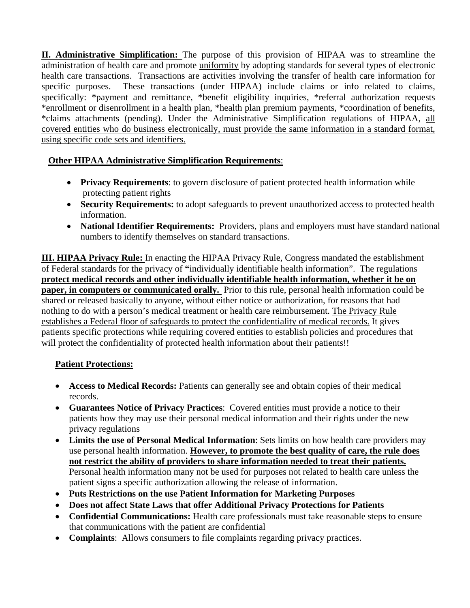**II. Administrative Simplification:** The purpose of this provision of HIPAA was to streamline the administration of health care and promote uniformity by adopting standards for several types of electronic health care transactions. Transactions are activities involving the transfer of health care information for specific purposes. These transactions (under HIPAA) include claims or info related to claims, specifically: \*payment and remittance, \*benefit eligibility inquiries, \*referral authorization requests \*enrollment or disenrollment in a health plan, \*health plan premium payments, \*coordination of benefits, \*claims attachments (pending). Under the Administrative Simplification regulations of HIPAA, all covered entities who do business electronically, must provide the same information in a standard format, using specific code sets and identifiers.

# **Other HIPAA Administrative Simplification Requirements**:

- **Privacy Requirements**: to govern disclosure of patient protected health information while protecting patient rights
- **Security Requirements:** to adopt safeguards to prevent unauthorized access to protected health information.
- **National Identifier Requirements:** Providers, plans and employers must have standard national numbers to identify themselves on standard transactions.

**III. HIPAA Privacy Rule:** In enacting the HIPAA Privacy Rule, Congress mandated the establishment of Federal standards for the privacy of **"**individually identifiable health information". The regulations **protect medical records and other individually identifiable health information, whether it be on paper, in computers or communicated orally.** Prior to this rule, personal health information could be shared or released basically to anyone, without either notice or authorization, for reasons that had nothing to do with a person's medical treatment or health care reimbursement. The Privacy Rule establishes a Federal floor of safeguards to protect the confidentiality of medical records. It gives patients specific protections while requiring covered entities to establish policies and procedures that will protect the confidentiality of protected health information about their patients!!

# **Patient Protections:**

- **Access to Medical Records:** Patients can generally see and obtain copies of their medical records.
- **Guarantees Notice of Privacy Practices**: Covered entities must provide a notice to their patients how they may use their personal medical information and their rights under the new privacy regulations
- **Limits the use of Personal Medical Information**: Sets limits on how health care providers may use personal health information. **However, to promote the best quality of care, the rule does not restrict the ability of providers to share information needed to treat their patients.**  Personal health information many not be used for purposes not related to health care unless the patient signs a specific authorization allowing the release of information.
- **Puts Restrictions on the use Patient Information for Marketing Purposes**
- **Does not affect State Laws that offer Additional Privacy Protections for Patients**
- **Confidential Communications:** Health care professionals must take reasonable steps to ensure that communications with the patient are confidential
- **Complaints**: Allows consumers to file complaints regarding privacy practices.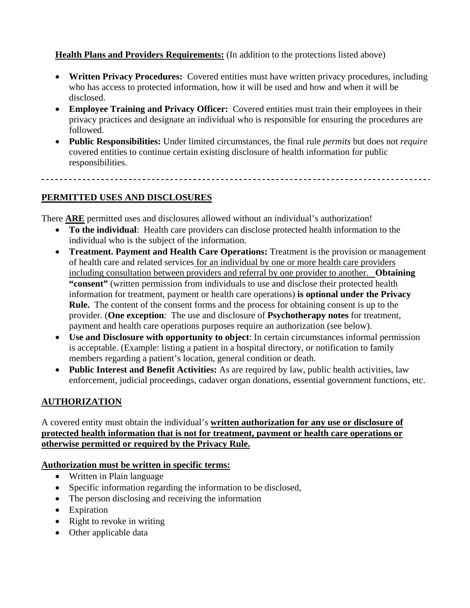# **Health Plans and Providers Requirements:** (In addition to the protections listed above)

- **Written Privacy Procedures:** Covered entities must have written privacy procedures, including who has access to protected information, how it will be used and how and when it will be disclosed.
- **Employee Training and Privacy Officer:** Covered entities must train their employees in their privacy practices and designate an individual who is responsible for ensuring the procedures are followed.
- **Public Responsibilities:** Under limited circumstances, the final rule *permits* but does not *require* covered entities to continue certain existing disclosure of health information for public responsibilities.

# **PERMITTED USES AND DISCLOSURES**

There **ARE** permitted uses and disclosures allowed without an individual's authorization!

- **To the individual**: Health care providers can disclose protected health information to the individual who is the subject of the information.
- **Treatment. Payment and Health Care Operations:** Treatment is the provision or management of health care and related services for an individual by one or more health care providers including consultation between providers and referral by one provider to another. **Obtaining "consent"** (written permission from individuals to use and disclose their protected health information for treatment, payment or health care operations) **is optional under the Privacy Rule.** The content of the consent forms and the process for obtaining consent is up to the provider. (**One exception**: The use and disclosure of **Psychotherapy notes** for treatment, payment and health care operations purposes require an authorization (see below).
- **Use and Disclosure with opportunity to object**: In certain circumstances informal permission is acceptable. (Example: listing a patient in a hospital directory, or notification to family members regarding a patient's location, general condition or death.
- **Public Interest and Benefit Activities:** As are required by law, public health activities, law enforcement, judicial proceedings, cadaver organ donations, essential government functions, etc.

# **AUTHORIZATION**

A covered entity must obtain the individual's **written authorization for any use or disclosure of protected health information that is not for treatment, payment or health care operations or otherwise permitted or required by the Privacy Rule.** 

#### **Authorization must be written in specific terms:**

- Written in Plain language
- Specific information regarding the information to be disclosed,
- The person disclosing and receiving the information
- Expiration
- Right to revoke in writing
- Other applicable data